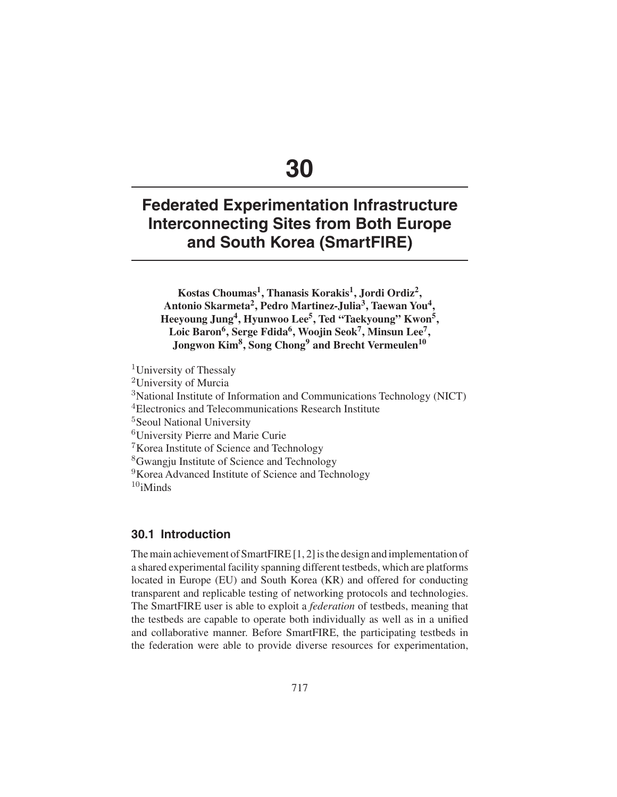# **30**

# **Federated Experimentation Infrastructure Interconnecting Sites from Both Europe and South Korea (SmartFIRE)**

**Kostas Choumas1, Thanasis Korakis1, Jordi Ordiz2, Antonio Skarmeta2, Pedro Martinez-Julia3, Taewan You4, Heeyoung Jung4, Hyunwoo Lee5, Ted "Taekyoung" Kwon5, Loic Baron6, Serge Fdida6, Woojin Seok7, Minsun Lee7, Jongwon Kim8, Song Chong9 and Brecht Vermeulen10**

<sup>1</sup>University of Thessaly

<sup>2</sup>University of Murcia

<sup>3</sup>National Institute of Information and Communications Technology (NICT)

<sup>4</sup>Electronics and Telecommunications Research Institute

<sup>5</sup>Seoul National University

<sup>6</sup>University Pierre and Marie Curie

<sup>7</sup>Korea Institute of Science and Technology

<sup>8</sup>Gwangju Institute of Science and Technology

<sup>9</sup>Korea Advanced Institute of Science and Technology

 $10$ iMinds

# **30.1 Introduction**

The main achievement of SmartFIRE [1, 2] is the design and implementation of a shared experimental facility spanning different testbeds, which are platforms located in Europe (EU) and South Korea (KR) and offered for conducting transparent and replicable testing of networking protocols and technologies. The SmartFIRE user is able to exploit a *federation* of testbeds, meaning that the testbeds are capable to operate both individually as well as in a unified and collaborative manner. Before SmartFIRE, the participating testbeds in the federation were able to provide diverse resources for experimentation,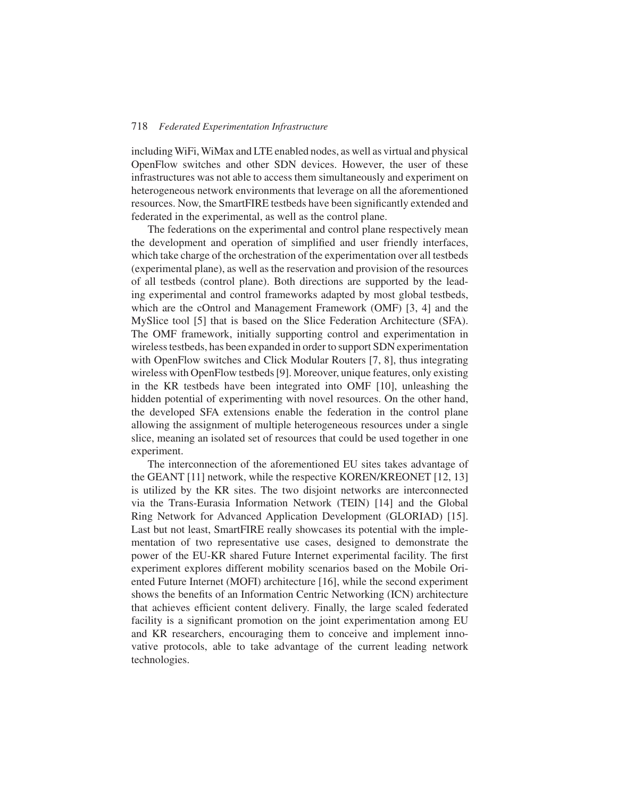includingWiFi,WiMax and LTE enabled nodes, as well as virtual and physical OpenFlow switches and other SDN devices. However, the user of these infrastructures was not able to access them simultaneously and experiment on heterogeneous network environments that leverage on all the aforementioned resources. Now, the SmartFIRE testbeds have been significantly extended and federated in the experimental, as well as the control plane.

The federations on the experimental and control plane respectively mean the development and operation of simplified and user friendly interfaces, which take charge of the orchestration of the experimentation over all testbeds (experimental plane), as well as the reservation and provision of the resources of all testbeds (control plane). Both directions are supported by the leading experimental and control frameworks adapted by most global testbeds, which are the cOntrol and Management Framework (OMF) [3, 4] and the MySlice tool [5] that is based on the Slice Federation Architecture (SFA). The OMF framework, initially supporting control and experimentation in wireless testbeds, has been expanded in order to support SDN experimentation with OpenFlow switches and Click Modular Routers [7, 8], thus integrating wireless with OpenFlow testbeds [9]. Moreover, unique features, only existing in the KR testbeds have been integrated into OMF [10], unleashing the hidden potential of experimenting with novel resources. On the other hand, the developed SFA extensions enable the federation in the control plane allowing the assignment of multiple heterogeneous resources under a single slice, meaning an isolated set of resources that could be used together in one experiment.

The interconnection of the aforementioned EU sites takes advantage of the GEANT [11] network, while the respective KOREN/KREONET [12, 13] is utilized by the KR sites. The two disjoint networks are interconnected via the Trans-Eurasia Information Network (TEIN) [14] and the Global Ring Network for Advanced Application Development (GLORIAD) [15]. Last but not least, SmartFIRE really showcases its potential with the implementation of two representative use cases, designed to demonstrate the power of the EU-KR shared Future Internet experimental facility. The first experiment explores different mobility scenarios based on the Mobile Oriented Future Internet (MOFI) architecture [16], while the second experiment shows the benefits of an Information Centric Networking (ICN) architecture that achieves efficient content delivery. Finally, the large scaled federated facility is a significant promotion on the joint experimentation among EU and KR researchers, encouraging them to conceive and implement innovative protocols, able to take advantage of the current leading network technologies.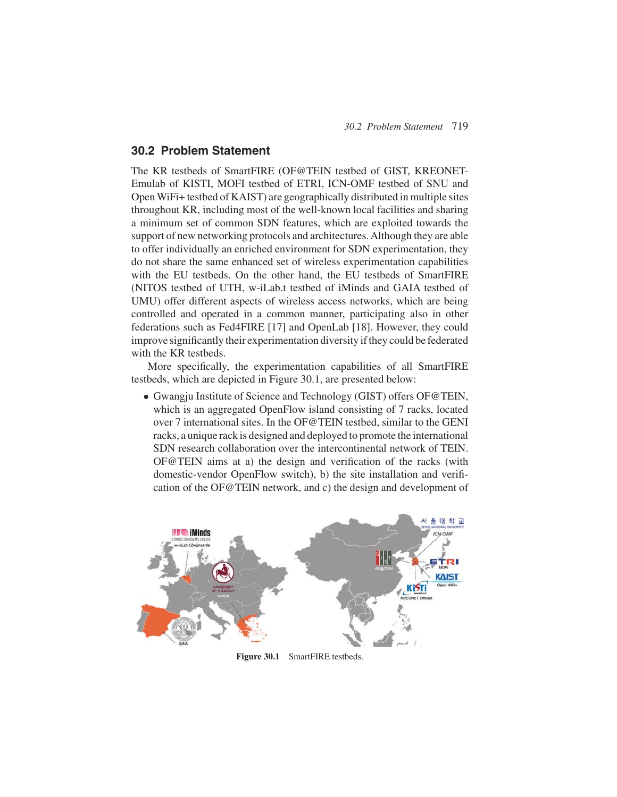# **30.2 Problem Statement**

The KR testbeds of SmartFIRE (OF@TEIN testbed of GIST, KREONET-Emulab of KISTI, MOFI testbed of ETRI, ICN-OMF testbed of SNU and OpenWiFi+ testbed of KAIST) are geographically distributed in multiple sites throughout KR, including most of the well-known local facilities and sharing a minimum set of common SDN features, which are exploited towards the support of new networking protocols and architectures. Although they are able to offer individually an enriched environment for SDN experimentation, they do not share the same enhanced set of wireless experimentation capabilities with the EU testbeds. On the other hand, the EU testbeds of SmartFIRE (NITOS testbed of UTH, w-iLab.t testbed of iMinds and GAIA testbed of UMU) offer different aspects of wireless access networks, which are being controlled and operated in a common manner, participating also in other federations such as Fed4FIRE [17] and OpenLab [18]. However, they could improve significantly their experimentation diversity if they could be federated with the KR testbeds.

More specifically, the experimentation capabilities of all SmartFIRE testbeds, which are depicted in Figure 30.1, are presented below:

• Gwangju Institute of Science and Technology (GIST) offers OF@TEIN, which is an aggregated OpenFlow island consisting of 7 racks, located over 7 international sites. In the OF@TEIN testbed, similar to the GENI racks, a unique rack is designed and deployed to promote the international SDN research collaboration over the intercontinental network of TEIN. OF@TEIN aims at a) the design and verification of the racks (with domestic-vendor OpenFlow switch), b) the site installation and verification of the OF@TEIN network, and c) the design and development of



**Figure 30.1** SmartFIRE testbeds.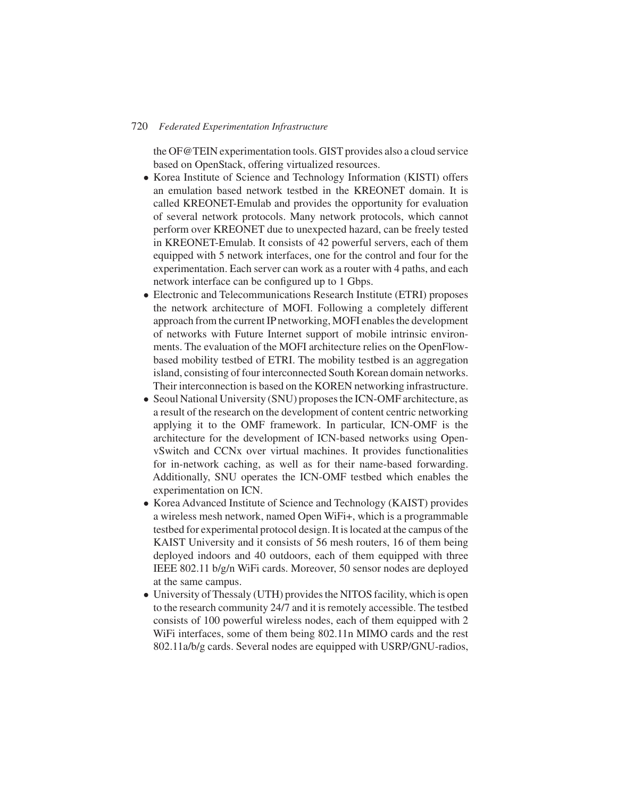the OF@TEIN experimentation tools. GIST provides also a cloud service based on OpenStack, offering virtualized resources.

- Korea Institute of Science and Technology Information (KISTI) offers an emulation based network testbed in the KREONET domain. It is called KREONET-Emulab and provides the opportunity for evaluation of several network protocols. Many network protocols, which cannot perform over KREONET due to unexpected hazard, can be freely tested in KREONET-Emulab. It consists of 42 powerful servers, each of them equipped with 5 network interfaces, one for the control and four for the experimentation. Each server can work as a router with 4 paths, and each network interface can be configured up to 1 Gbps.
- Electronic and Telecommunications Research Institute (ETRI) proposes the network architecture of MOFI. Following a completely different approach from the current IP networking, MOFI enables the development of networks with Future Internet support of mobile intrinsic environments. The evaluation of the MOFI architecture relies on the OpenFlowbased mobility testbed of ETRI. The mobility testbed is an aggregation island, consisting of four interconnected South Korean domain networks. Their interconnection is based on the KOREN networking infrastructure.
- Seoul National University (SNU) proposes the ICN-OMF architecture, as a result of the research on the development of content centric networking applying it to the OMF framework. In particular, ICN-OMF is the architecture for the development of ICN-based networks using OpenvSwitch and CCNx over virtual machines. It provides functionalities for in-network caching, as well as for their name-based forwarding. Additionally, SNU operates the ICN-OMF testbed which enables the experimentation on ICN.
- Korea Advanced Institute of Science and Technology (KAIST) provides a wireless mesh network, named Open WiFi+, which is a programmable testbed for experimental protocol design. It is located at the campus of the KAIST University and it consists of 56 mesh routers, 16 of them being deployed indoors and 40 outdoors, each of them equipped with three IEEE 802.11 b/g/n WiFi cards. Moreover, 50 sensor nodes are deployed at the same campus.
- University of Thessaly (UTH) provides the NITOS facility, which is open to the research community 24/7 and it is remotely accessible. The testbed consists of 100 powerful wireless nodes, each of them equipped with 2 WiFi interfaces, some of them being 802.11n MIMO cards and the rest 802.11a/b/g cards. Several nodes are equipped with USRP/GNU-radios,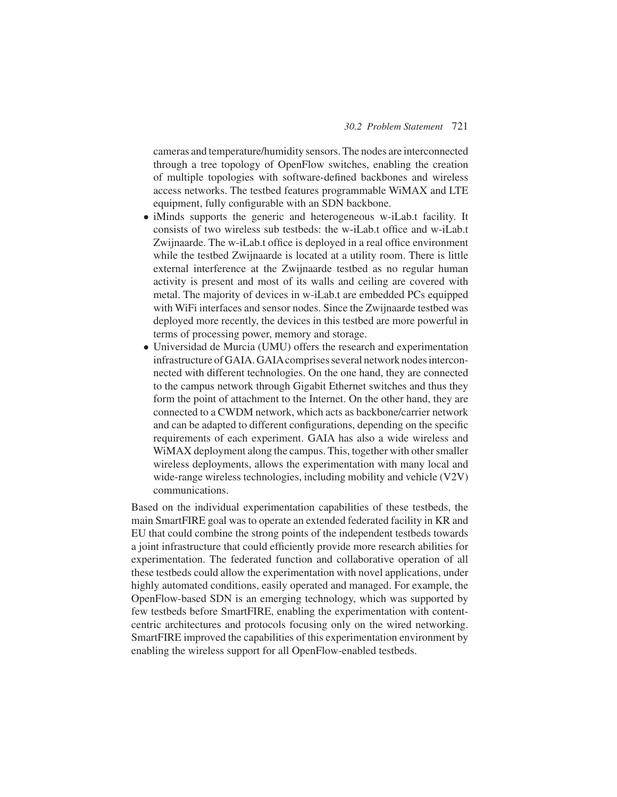cameras and temperature/humidity sensors. The nodes are interconnected through a tree topology of OpenFlow switches, enabling the creation of multiple topologies with software-defined backbones and wireless access networks. The testbed features programmable WiMAX and LTE equipment, fully configurable with an SDN backbone.

- iMinds supports the generic and heterogeneous w-iLab.t facility. It consists of two wireless sub testbeds: the w-iLab.t office and w-iLab.t Zwijnaarde. The w-iLab.t office is deployed in a real office environment while the testbed Zwijnaarde is located at a utility room. There is little external interference at the Zwijnaarde testbed as no regular human activity is present and most of its walls and ceiling are covered with metal. The majority of devices in w-iLab.t are embedded PCs equipped with WiFi interfaces and sensor nodes. Since the Zwijnaarde testbed was deployed more recently, the devices in this testbed are more powerful in terms of processing power, memory and storage.
- Universidad de Murcia (UMU) offers the research and experimentation infrastructure of GAIA. GAIAcomprises several network nodes interconnected with different technologies. On the one hand, they are connected to the campus network through Gigabit Ethernet switches and thus they form the point of attachment to the Internet. On the other hand, they are connected to a CWDM network, which acts as backbone/carrier network and can be adapted to different configurations, depending on the specific requirements of each experiment. GAIA has also a wide wireless and WiMAX deployment along the campus. This, together with other smaller wireless deployments, allows the experimentation with many local and wide-range wireless technologies, including mobility and vehicle (V2V) communications.

Based on the individual experimentation capabilities of these testbeds, the main SmartFIRE goal was to operate an extended federated facility in KR and EU that could combine the strong points of the independent testbeds towards a joint infrastructure that could efficiently provide more research abilities for experimentation. The federated function and collaborative operation of all these testbeds could allow the experimentation with novel applications, under highly automated conditions, easily operated and managed. For example, the OpenFlow-based SDN is an emerging technology, which was supported by few testbeds before SmartFIRE, enabling the experimentation with contentcentric architectures and protocols focusing only on the wired networking. SmartFIRE improved the capabilities of this experimentation environment by enabling the wireless support for all OpenFlow-enabled testbeds.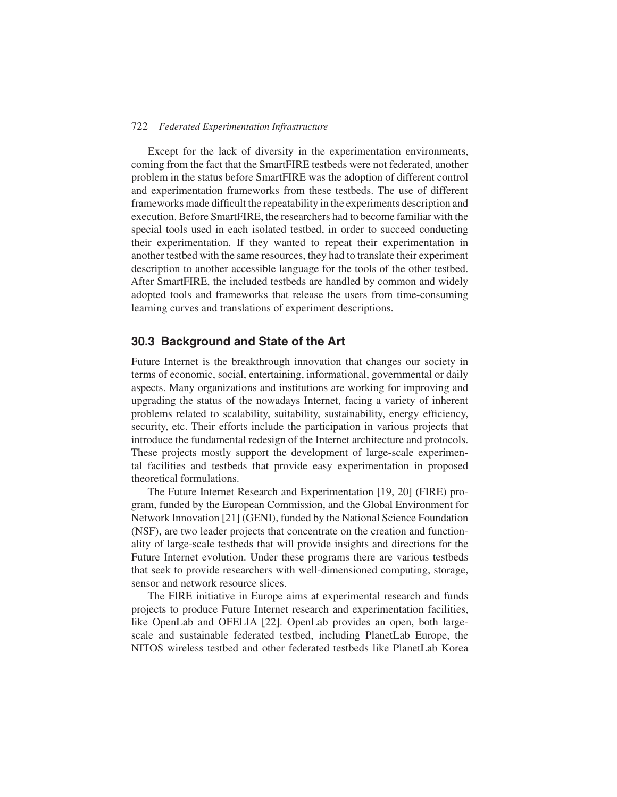Except for the lack of diversity in the experimentation environments, coming from the fact that the SmartFIRE testbeds were not federated, another problem in the status before SmartFIRE was the adoption of different control and experimentation frameworks from these testbeds. The use of different frameworks made difficult the repeatability in the experiments description and execution. Before SmartFIRE, the researchers had to become familiar with the special tools used in each isolated testbed, in order to succeed conducting their experimentation. If they wanted to repeat their experimentation in another testbed with the same resources, they had to translate their experiment description to another accessible language for the tools of the other testbed. After SmartFIRE, the included testbeds are handled by common and widely adopted tools and frameworks that release the users from time-consuming learning curves and translations of experiment descriptions.

# **30.3 Background and State of the Art**

Future Internet is the breakthrough innovation that changes our society in terms of economic, social, entertaining, informational, governmental or daily aspects. Many organizations and institutions are working for improving and upgrading the status of the nowadays Internet, facing a variety of inherent problems related to scalability, suitability, sustainability, energy efficiency, security, etc. Their efforts include the participation in various projects that introduce the fundamental redesign of the Internet architecture and protocols. These projects mostly support the development of large-scale experimental facilities and testbeds that provide easy experimentation in proposed theoretical formulations.

The Future Internet Research and Experimentation [19, 20] (FIRE) program, funded by the European Commission, and the Global Environment for Network Innovation [21] (GENI), funded by the National Science Foundation (NSF), are two leader projects that concentrate on the creation and functionality of large-scale testbeds that will provide insights and directions for the Future Internet evolution. Under these programs there are various testbeds that seek to provide researchers with well-dimensioned computing, storage, sensor and network resource slices.

The FIRE initiative in Europe aims at experimental research and funds projects to produce Future Internet research and experimentation facilities, like OpenLab and OFELIA [22]. OpenLab provides an open, both largescale and sustainable federated testbed, including PlanetLab Europe, the NITOS wireless testbed and other federated testbeds like PlanetLab Korea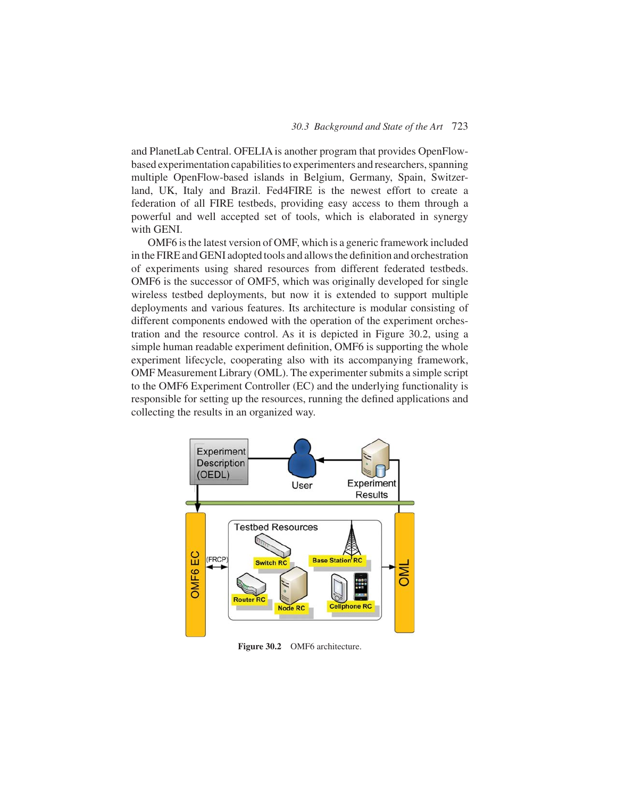and PlanetLab Central. OFELIA is another program that provides OpenFlowbased experimentation capabilities to experimenters and researchers, spanning multiple OpenFlow-based islands in Belgium, Germany, Spain, Switzerland, UK, Italy and Brazil. Fed4FIRE is the newest effort to create a federation of all FIRE testbeds, providing easy access to them through a powerful and well accepted set of tools, which is elaborated in synergy with GENI.

OMF6 is the latest version of OMF, which is a generic framework included in the FIRE and GENI adopted tools and allows the definition and orchestration of experiments using shared resources from different federated testbeds. OMF6 is the successor of OMF5, which was originally developed for single wireless testbed deployments, but now it is extended to support multiple deployments and various features. Its architecture is modular consisting of different components endowed with the operation of the experiment orchestration and the resource control. As it is depicted in Figure 30.2, using a simple human readable experiment definition, OMF6 is supporting the whole experiment lifecycle, cooperating also with its accompanying framework, OMF Measurement Library (OML). The experimenter submits a simple script to the OMF6 Experiment Controller (EC) and the underlying functionality is responsible for setting up the resources, running the defined applications and collecting the results in an organized way.



**Figure 30.2** OMF6 architecture.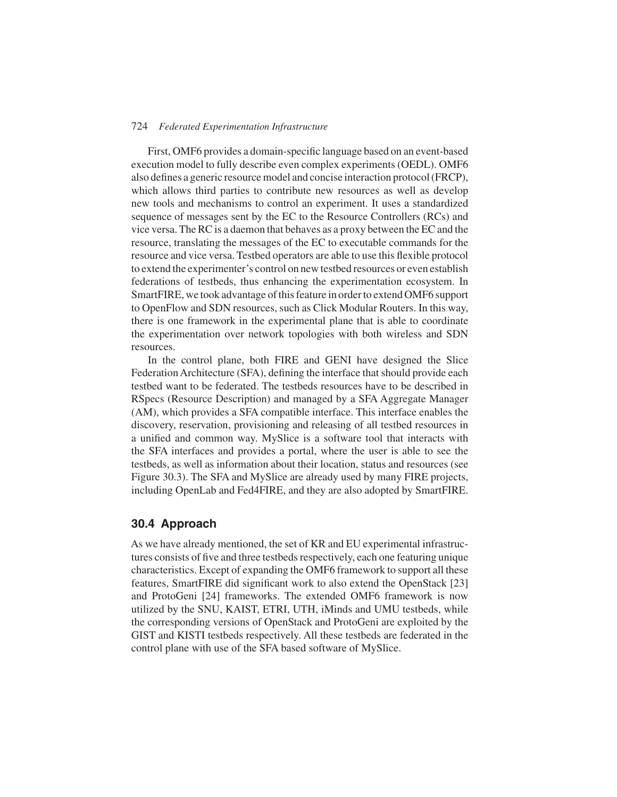First, OMF6 provides a domain-specific language based on an event-based execution model to fully describe even complex experiments (OEDL). OMF6 also defines a generic resource model and concise interaction protocol (FRCP), which allows third parties to contribute new resources as well as develop new tools and mechanisms to control an experiment. It uses a standardized sequence of messages sent by the EC to the Resource Controllers (RCs) and vice versa. The RC is a daemon that behaves as a proxy between the EC and the resource, translating the messages of the EC to executable commands for the resource and vice versa. Testbed operators are able to use this flexible protocol to extend the experimenter's control on new testbed resources or even establish federations of testbeds, thus enhancing the experimentation ecosystem. In SmartFIRE, we took advantage of this feature in order to extend OMF6 support to OpenFlow and SDN resources, such as Click Modular Routers. In this way, there is one framework in the experimental plane that is able to coordinate the experimentation over network topologies with both wireless and SDN resources.

In the control plane, both FIRE and GENI have designed the Slice Federation Architecture (SFA), defining the interface that should provide each testbed want to be federated. The testbeds resources have to be described in RSpecs (Resource Description) and managed by a SFA Aggregate Manager (AM), which provides a SFA compatible interface. This interface enables the discovery, reservation, provisioning and releasing of all testbed resources in a unified and common way. MySlice is a software tool that interacts with the SFA interfaces and provides a portal, where the user is able to see the testbeds, as well as information about their location, status and resources (see Figure 30.3). The SFA and MySlice are already used by many FIRE projects, including OpenLab and Fed4FIRE, and they are also adopted by SmartFIRE.

## **30.4 Approach**

As we have already mentioned, the set of KR and EU experimental infrastructures consists of five and three testbeds respectively, each one featuring unique characteristics. Except of expanding the OMF6 framework to support all these features, SmartFIRE did significant work to also extend the OpenStack [23] and ProtoGeni [24] frameworks. The extended OMF6 framework is now utilized by the SNU, KAIST, ETRI, UTH, iMinds and UMU testbeds, while the corresponding versions of OpenStack and ProtoGeni are exploited by the GIST and KISTI testbeds respectively. All these testbeds are federated in the control plane with use of the SFA based software of MySlice.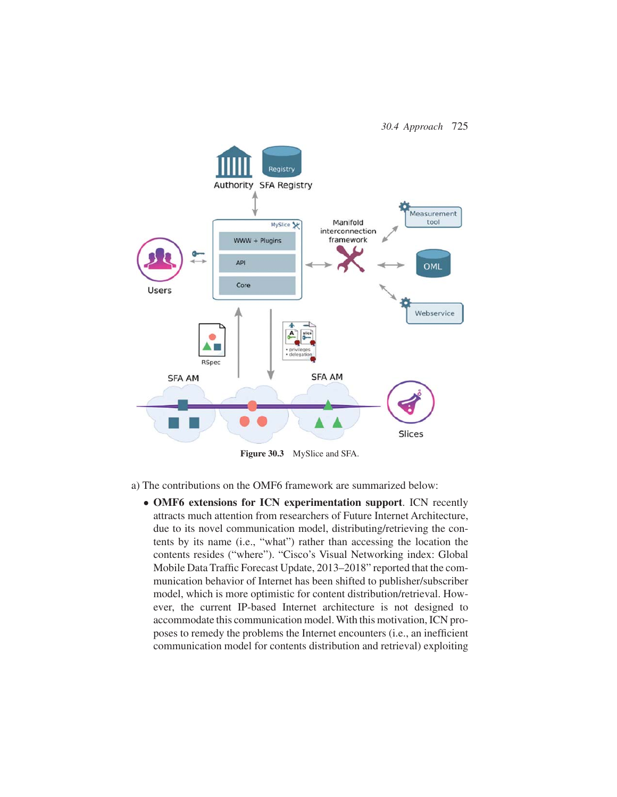*30.4 Approach* 725



**Figure 30.3** MySlice and SFA.

a) The contributions on the OMF6 framework are summarized below:

• **OMF6 extensions for ICN experimentation support**. ICN recently attracts much attention from researchers of Future Internet Architecture, due to its novel communication model, distributing/retrieving the contents by its name (i.e., "what") rather than accessing the location the contents resides ("where"). "Cisco's Visual Networking index: Global Mobile Data Traffic Forecast Update, 2013–2018" reported that the communication behavior of Internet has been shifted to publisher/subscriber model, which is more optimistic for content distribution/retrieval. However, the current IP-based Internet architecture is not designed to accommodate this communication model.With this motivation, ICN proposes to remedy the problems the Internet encounters (i.e., an inefficient communication model for contents distribution and retrieval) exploiting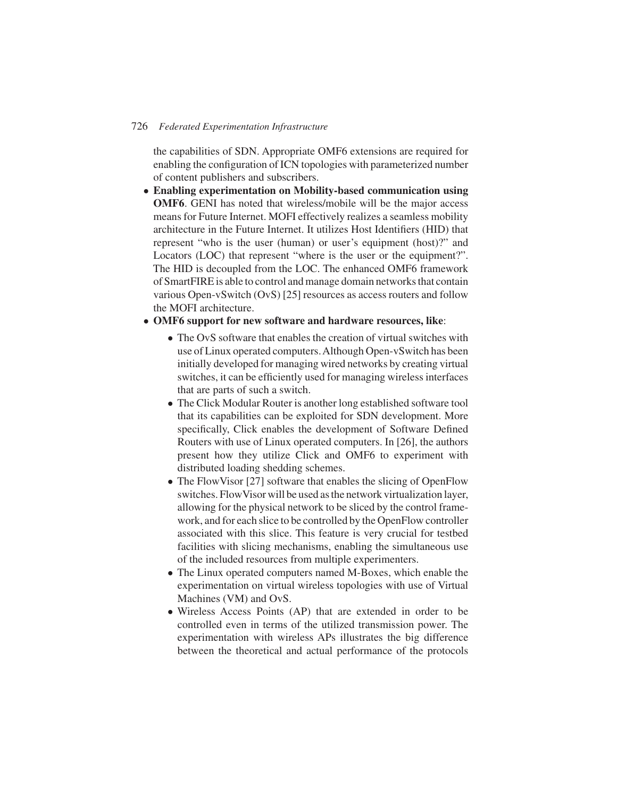the capabilities of SDN. Appropriate OMF6 extensions are required for enabling the configuration of ICN topologies with parameterized number of content publishers and subscribers.

• **Enabling experimentation on Mobility-based communication using OMF6**. GENI has noted that wireless/mobile will be the major access means for Future Internet. MOFI effectively realizes a seamless mobility architecture in the Future Internet. It utilizes Host Identifiers (HID) that represent "who is the user (human) or user's equipment (host)?" and Locators (LOC) that represent "where is the user or the equipment?". The HID is decoupled from the LOC. The enhanced OMF6 framework of SmartFIRE is able to control and manage domain networks that contain various Open-vSwitch (OvS) [25] resources as access routers and follow the MOFI architecture.

# • **OMF6 support for new software and hardware resources, like**:

- The OvS software that enables the creation of virtual switches with use of Linux operated computers.Although Open-vSwitch has been initially developed for managing wired networks by creating virtual switches, it can be efficiently used for managing wireless interfaces that are parts of such a switch.
- The Click Modular Router is another long established software tool that its capabilities can be exploited for SDN development. More specifically, Click enables the development of Software Defined Routers with use of Linux operated computers. In [26], the authors present how they utilize Click and OMF6 to experiment with distributed loading shedding schemes.
- The FlowVisor [27] software that enables the slicing of OpenFlow switches. FlowVisor will be used as the network virtualization layer, allowing for the physical network to be sliced by the control framework, and for each slice to be controlled by the OpenFlow controller associated with this slice. This feature is very crucial for testbed facilities with slicing mechanisms, enabling the simultaneous use of the included resources from multiple experimenters.
- The Linux operated computers named M-Boxes, which enable the experimentation on virtual wireless topologies with use of Virtual Machines (VM) and OvS.
- Wireless Access Points (AP) that are extended in order to be controlled even in terms of the utilized transmission power. The experimentation with wireless APs illustrates the big difference between the theoretical and actual performance of the protocols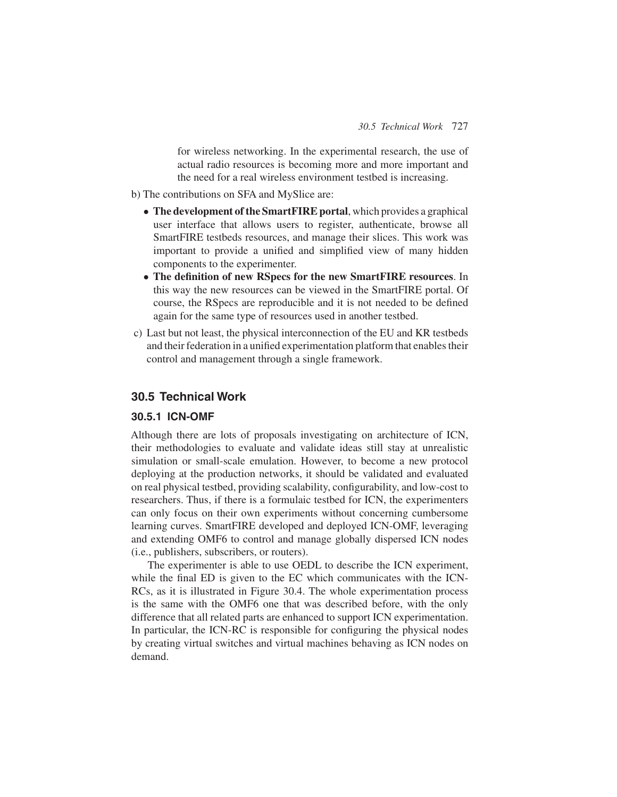for wireless networking. In the experimental research, the use of actual radio resources is becoming more and more important and the need for a real wireless environment testbed is increasing.

- b) The contributions on SFA and MySlice are:
	- **The development of the SmartFIRE portal**, which provides a graphical user interface that allows users to register, authenticate, browse all SmartFIRE testbeds resources, and manage their slices. This work was important to provide a unified and simplified view of many hidden components to the experimenter.
	- **The definition of new RSpecs for the new SmartFIRE resources**. In this way the new resources can be viewed in the SmartFIRE portal. Of course, the RSpecs are reproducible and it is not needed to be defined again for the same type of resources used in another testbed.
- c) Last but not least, the physical interconnection of the EU and KR testbeds and their federation in a unified experimentation platform that enables their control and management through a single framework.

# **30.5 Technical Work**

#### **30.5.1 ICN-OMF**

Although there are lots of proposals investigating on architecture of ICN, their methodologies to evaluate and validate ideas still stay at unrealistic simulation or small-scale emulation. However, to become a new protocol deploying at the production networks, it should be validated and evaluated on real physical testbed, providing scalability, configurability, and low-cost to researchers. Thus, if there is a formulaic testbed for ICN, the experimenters can only focus on their own experiments without concerning cumbersome learning curves. SmartFIRE developed and deployed ICN-OMF, leveraging and extending OMF6 to control and manage globally dispersed ICN nodes (i.e., publishers, subscribers, or routers).

The experimenter is able to use OEDL to describe the ICN experiment, while the final ED is given to the EC which communicates with the ICN-RCs, as it is illustrated in Figure 30.4. The whole experimentation process is the same with the OMF6 one that was described before, with the only difference that all related parts are enhanced to support ICN experimentation. In particular, the ICN-RC is responsible for configuring the physical nodes by creating virtual switches and virtual machines behaving as ICN nodes on demand.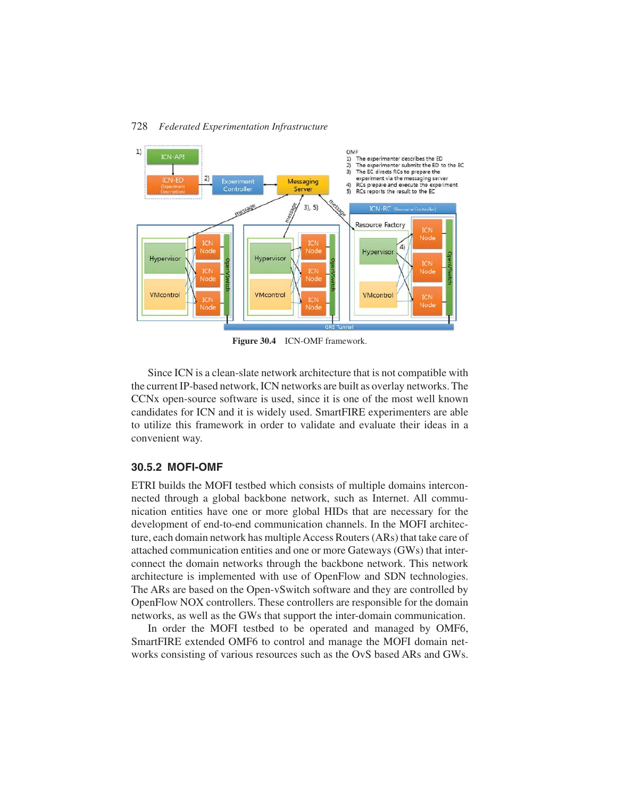

728 *Federated Experimentation Infrastructure*

**Figure 30.4** ICN-OMF framework.

Since ICN is a clean-slate network architecture that is not compatible with the current IP-based network, ICN networks are built as overlay networks. The CCNx open-source software is used, since it is one of the most well known candidates for ICN and it is widely used. SmartFIRE experimenters are able to utilize this framework in order to validate and evaluate their ideas in a convenient way.

# **30.5.2 MOFI-OMF**

ETRI builds the MOFI testbed which consists of multiple domains interconnected through a global backbone network, such as Internet. All communication entities have one or more global HIDs that are necessary for the development of end-to-end communication channels. In the MOFI architecture, each domain network has multiple Access Routers (ARs) that take care of attached communication entities and one or more Gateways (GWs) that interconnect the domain networks through the backbone network. This network architecture is implemented with use of OpenFlow and SDN technologies. The ARs are based on the Open-vSwitch software and they are controlled by OpenFlow NOX controllers. These controllers are responsible for the domain networks, as well as the GWs that support the inter-domain communication.

In order the MOFI testbed to be operated and managed by OMF6, SmartFIRE extended OMF6 to control and manage the MOFI domain networks consisting of various resources such as the OvS based ARs and GWs.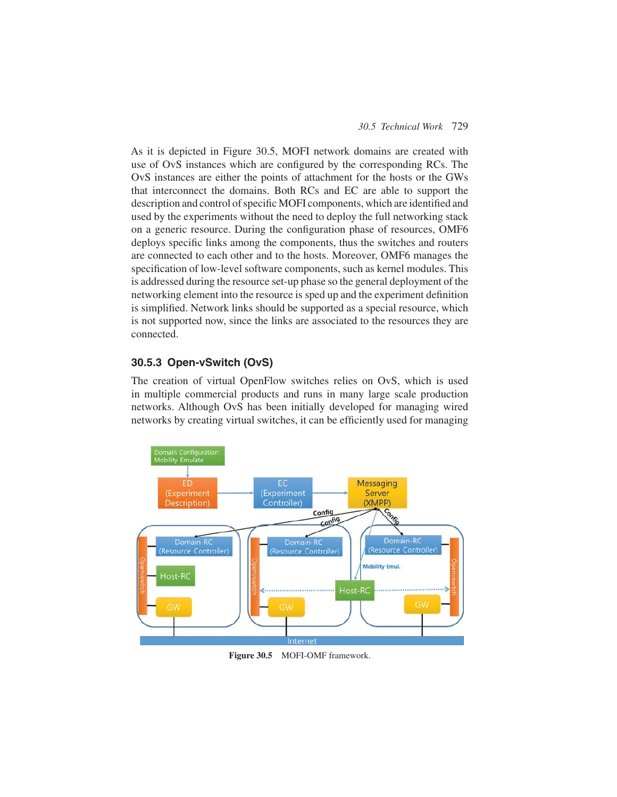As it is depicted in Figure 30.5, MOFI network domains are created with use of OvS instances which are configured by the corresponding RCs. The OvS instances are either the points of attachment for the hosts or the GWs that interconnect the domains. Both RCs and EC are able to support the description and control of specific MOFI components, which are identified and used by the experiments without the need to deploy the full networking stack on a generic resource. During the configuration phase of resources, OMF6 deploys specific links among the components, thus the switches and routers are connected to each other and to the hosts. Moreover, OMF6 manages the specification of low-level software components, such as kernel modules. This is addressed during the resource set-up phase so the general deployment of the networking element into the resource is sped up and the experiment definition is simplified. Network links should be supported as a special resource, which is not supported now, since the links are associated to the resources they are connected.

# **30.5.3 Open-vSwitch (OvS)**

The creation of virtual OpenFlow switches relies on OvS, which is used in multiple commercial products and runs in many large scale production networks. Although OvS has been initially developed for managing wired networks by creating virtual switches, it can be efficiently used for managing



**Figure 30.5** MOFI-OMF framework.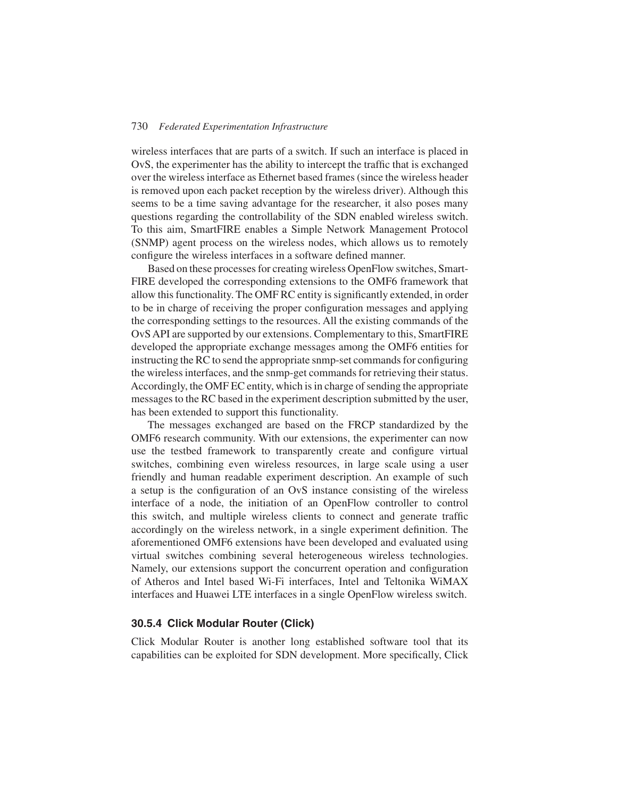wireless interfaces that are parts of a switch. If such an interface is placed in OvS, the experimenter has the ability to intercept the traffic that is exchanged over the wireless interface as Ethernet based frames (since the wireless header is removed upon each packet reception by the wireless driver). Although this seems to be a time saving advantage for the researcher, it also poses many questions regarding the controllability of the SDN enabled wireless switch. To this aim, SmartFIRE enables a Simple Network Management Protocol (SNMP) agent process on the wireless nodes, which allows us to remotely configure the wireless interfaces in a software defined manner.

Based on these processes for creating wireless OpenFlow switches, Smart-FIRE developed the corresponding extensions to the OMF6 framework that allow this functionality. The OMF RC entity is significantly extended, in order to be in charge of receiving the proper configuration messages and applying the corresponding settings to the resources. All the existing commands of the OvS API are supported by our extensions. Complementary to this, SmartFIRE developed the appropriate exchange messages among the OMF6 entities for instructing the RC to send the appropriate snmp-set commands for configuring the wireless interfaces, and the snmp-get commands for retrieving their status. Accordingly, the OMF EC entity, which is in charge of sending the appropriate messages to the RC based in the experiment description submitted by the user, has been extended to support this functionality.

The messages exchanged are based on the FRCP standardized by the OMF6 research community. With our extensions, the experimenter can now use the testbed framework to transparently create and configure virtual switches, combining even wireless resources, in large scale using a user friendly and human readable experiment description. An example of such a setup is the configuration of an OvS instance consisting of the wireless interface of a node, the initiation of an OpenFlow controller to control this switch, and multiple wireless clients to connect and generate traffic accordingly on the wireless network, in a single experiment definition. The aforementioned OMF6 extensions have been developed and evaluated using virtual switches combining several heterogeneous wireless technologies. Namely, our extensions support the concurrent operation and configuration of Atheros and Intel based Wi-Fi interfaces, Intel and Teltonika WiMAX interfaces and Huawei LTE interfaces in a single OpenFlow wireless switch.

## **30.5.4 Click Modular Router (Click)**

Click Modular Router is another long established software tool that its capabilities can be exploited for SDN development. More specifically, Click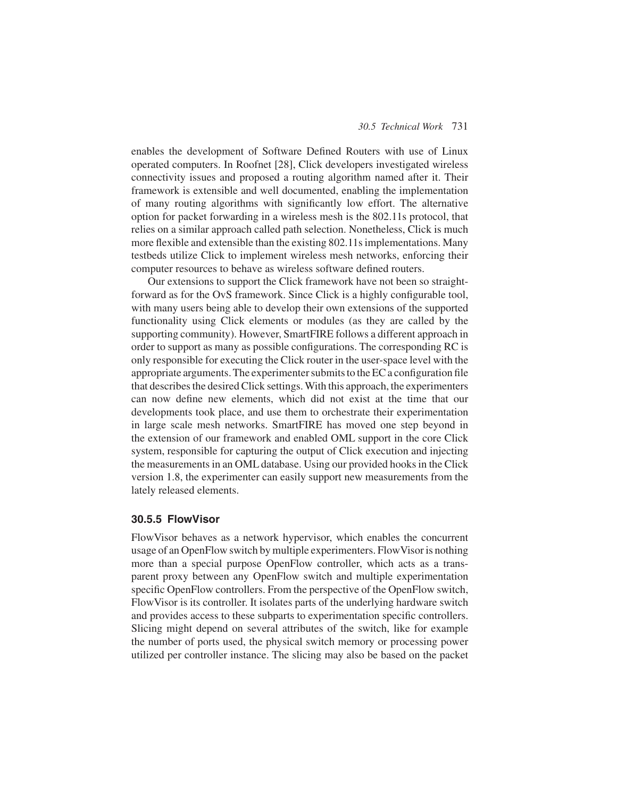#### *30.5 Technical Work* 731

enables the development of Software Defined Routers with use of Linux operated computers. In Roofnet [28], Click developers investigated wireless connectivity issues and proposed a routing algorithm named after it. Their framework is extensible and well documented, enabling the implementation of many routing algorithms with significantly low effort. The alternative option for packet forwarding in a wireless mesh is the 802.11s protocol, that relies on a similar approach called path selection. Nonetheless, Click is much more flexible and extensible than the existing 802.11s implementations. Many testbeds utilize Click to implement wireless mesh networks, enforcing their computer resources to behave as wireless software defined routers.

Our extensions to support the Click framework have not been so straightforward as for the OvS framework. Since Click is a highly configurable tool, with many users being able to develop their own extensions of the supported functionality using Click elements or modules (as they are called by the supporting community). However, SmartFIRE follows a different approach in order to support as many as possible configurations. The corresponding RC is only responsible for executing the Click router in the user-space level with the appropriate arguments. The experimenter submits to the EC a configuration file that describes the desired Click settings.With this approach, the experimenters can now define new elements, which did not exist at the time that our developments took place, and use them to orchestrate their experimentation in large scale mesh networks. SmartFIRE has moved one step beyond in the extension of our framework and enabled OML support in the core Click system, responsible for capturing the output of Click execution and injecting the measurements in an OML database. Using our provided hooks in the Click version 1.8, the experimenter can easily support new measurements from the lately released elements.

#### **30.5.5 FlowVisor**

FlowVisor behaves as a network hypervisor, which enables the concurrent usage of an OpenFlow switch by multiple experimenters. FlowVisor is nothing more than a special purpose OpenFlow controller, which acts as a transparent proxy between any OpenFlow switch and multiple experimentation specific OpenFlow controllers. From the perspective of the OpenFlow switch, FlowVisor is its controller. It isolates parts of the underlying hardware switch and provides access to these subparts to experimentation specific controllers. Slicing might depend on several attributes of the switch, like for example the number of ports used, the physical switch memory or processing power utilized per controller instance. The slicing may also be based on the packet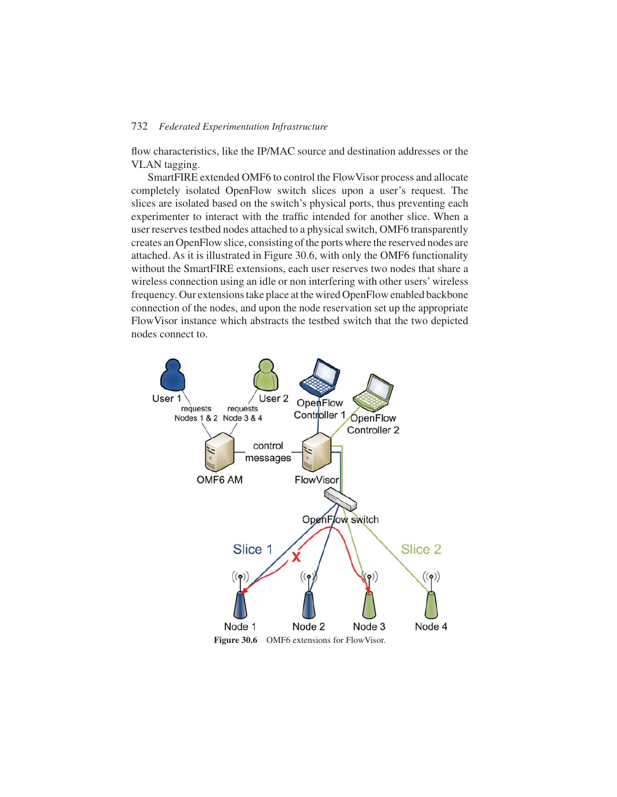flow characteristics, like the IP/MAC source and destination addresses or the VLAN tagging.

SmartFIRE extended OMF6 to control the FlowVisor process and allocate completely isolated OpenFlow switch slices upon a user's request. The slices are isolated based on the switch's physical ports, thus preventing each experimenter to interact with the traffic intended for another slice. When a user reserves testbed nodes attached to a physical switch, OMF6 transparently creates an OpenFlow slice, consisting of the ports where the reserved nodes are attached. As it is illustrated in Figure 30.6, with only the OMF6 functionality without the SmartFIRE extensions, each user reserves two nodes that share a wireless connection using an idle or non interfering with other users' wireless frequency. Our extensions take place at the wired OpenFlow enabled backbone connection of the nodes, and upon the node reservation set up the appropriate FlowVisor instance which abstracts the testbed switch that the two depicted nodes connect to.

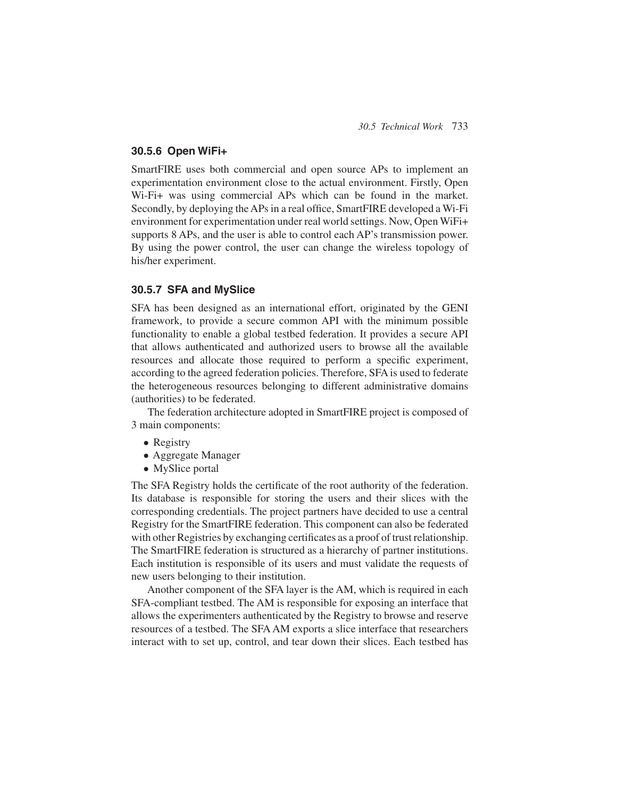## **30.5.6 Open WiFi+**

SmartFIRE uses both commercial and open source APs to implement an experimentation environment close to the actual environment. Firstly, Open Wi-Fi+ was using commercial APs which can be found in the market. Secondly, by deploying the APs in a real office, SmartFIRE developed a Wi-Fi environment for experimentation under real world settings. Now, Open WiFi+ supports 8 APs, and the user is able to control each AP's transmission power. By using the power control, the user can change the wireless topology of his/her experiment.

#### **30.5.7 SFA and MySlice**

SFA has been designed as an international effort, originated by the GENI framework, to provide a secure common API with the minimum possible functionality to enable a global testbed federation. It provides a secure API that allows authenticated and authorized users to browse all the available resources and allocate those required to perform a specific experiment, according to the agreed federation policies. Therefore, SFA is used to federate the heterogeneous resources belonging to different administrative domains (authorities) to be federated.

The federation architecture adopted in SmartFIRE project is composed of 3 main components:

- Registry
- Aggregate Manager
- MySlice portal

The SFA Registry holds the certificate of the root authority of the federation. Its database is responsible for storing the users and their slices with the corresponding credentials. The project partners have decided to use a central Registry for the SmartFIRE federation. This component can also be federated with other Registries by exchanging certificates as a proof of trust relationship. The SmartFIRE federation is structured as a hierarchy of partner institutions. Each institution is responsible of its users and must validate the requests of new users belonging to their institution.

Another component of the SFA layer is the AM, which is required in each SFA-compliant testbed. The AM is responsible for exposing an interface that allows the experimenters authenticated by the Registry to browse and reserve resources of a testbed. The SFA AM exports a slice interface that researchers interact with to set up, control, and tear down their slices. Each testbed has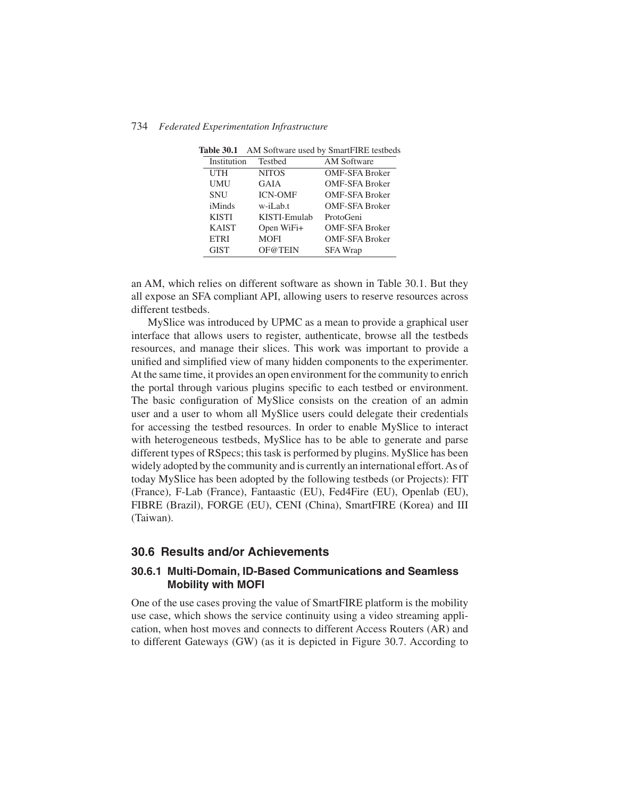|              |                | $\frac{1}{2}$         |
|--------------|----------------|-----------------------|
| Institution  | Testbed        | <b>AM Software</b>    |
| <b>UTH</b>   | <b>NITOS</b>   | <b>OMF-SFA Broker</b> |
| <b>UMU</b>   | GAIA           | <b>OMF-SFA Broker</b> |
| <b>SNU</b>   | <b>ICN-OMF</b> | <b>OMF-SFA Broker</b> |
| iMinds       | w-iLab.t       | <b>OMF-SFA Broker</b> |
| <b>KISTI</b> | KISTI-Emulab   | ProtoGeni             |
| <b>KAIST</b> | Open WiFi+     | <b>OMF-SFA Broker</b> |
| <b>ETRI</b>  | <b>MOFI</b>    | <b>OMF-SFA Broker</b> |
| <b>GIST</b>  | OF@TEIN        | <b>SFA Wrap</b>       |

**Table 30.1** AM Software used by SmartFIRE testbeds

an AM, which relies on different software as shown in Table 30.1. But they all expose an SFA compliant API, allowing users to reserve resources across different testbeds.

MySlice was introduced by UPMC as a mean to provide a graphical user interface that allows users to register, authenticate, browse all the testbeds resources, and manage their slices. This work was important to provide a unified and simplified view of many hidden components to the experimenter. At the same time, it provides an open environment for the community to enrich the portal through various plugins specific to each testbed or environment. The basic configuration of MySlice consists on the creation of an admin user and a user to whom all MySlice users could delegate their credentials for accessing the testbed resources. In order to enable MySlice to interact with heterogeneous testbeds, MySlice has to be able to generate and parse different types of RSpecs; this task is performed by plugins. MySlice has been widely adopted by the community and is currently an international effort.As of today MySlice has been adopted by the following testbeds (or Projects): FIT (France), F-Lab (France), Fantaastic (EU), Fed4Fire (EU), Openlab (EU), FIBRE (Brazil), FORGE (EU), CENI (China), SmartFIRE (Korea) and III (Taiwan).

# **30.6 Results and/or Achievements**

# **30.6.1 Multi-Domain, ID-Based Communications and Seamless Mobility with MOFI**

One of the use cases proving the value of SmartFIRE platform is the mobility use case, which shows the service continuity using a video streaming application, when host moves and connects to different Access Routers (AR) and to different Gateways (GW) (as it is depicted in Figure 30.7. According to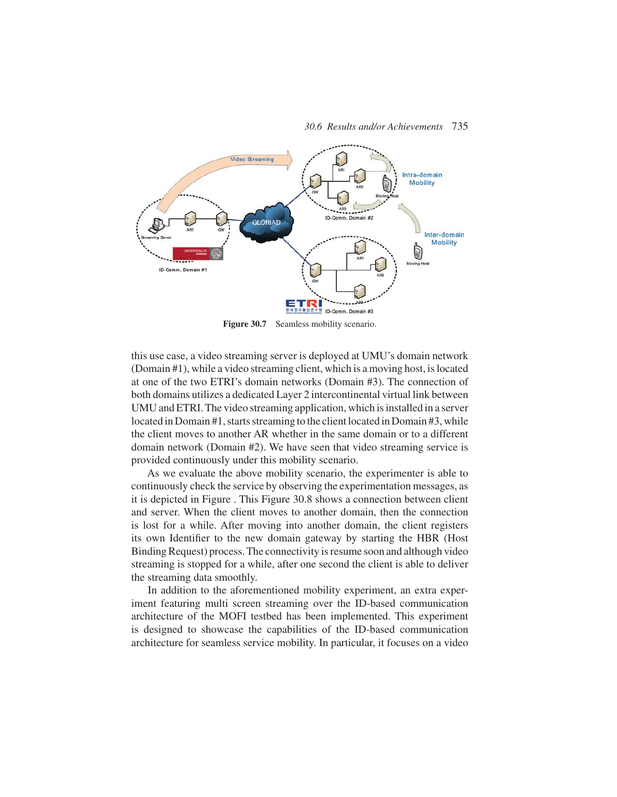#### *30.6 Results and/or Achievements* 735



**Figure 30.7** Seamless mobility scenario.

this use case, a video streaming server is deployed at UMU's domain network (Domain #1), while a video streaming client, which is a moving host, is located at one of the two ETRI's domain networks (Domain #3). The connection of both domains utilizes a dedicated Layer 2 intercontinental virtual link between UMU and ETRI. The video streaming application, which is installed in a server located in Domain #1, starts streaming to the client located in Domain #3, while the client moves to another AR whether in the same domain or to a different domain network (Domain #2). We have seen that video streaming service is provided continuously under this mobility scenario.

As we evaluate the above mobility scenario, the experimenter is able to continuously check the service by observing the experimentation messages, as it is depicted in Figure . This Figure 30.8 shows a connection between client and server. When the client moves to another domain, then the connection is lost for a while. After moving into another domain, the client registers its own Identifier to the new domain gateway by starting the HBR (Host Binding Request) process. The connectivity is resume soon and although video streaming is stopped for a while, after one second the client is able to deliver the streaming data smoothly.

In addition to the aforementioned mobility experiment, an extra experiment featuring multi screen streaming over the ID-based communication architecture of the MOFI testbed has been implemented. This experiment is designed to showcase the capabilities of the ID-based communication architecture for seamless service mobility. In particular, it focuses on a video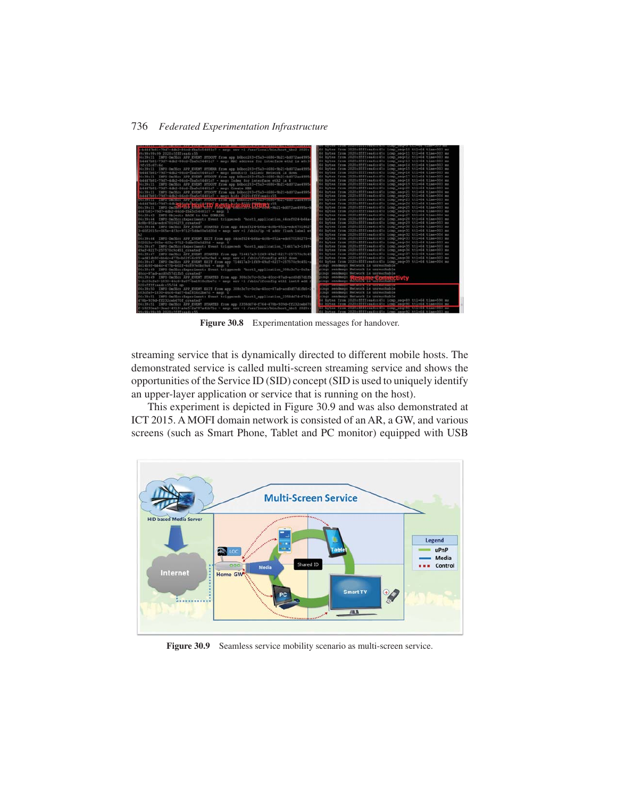

**Figure 30.8** Experimentation messages for handover.

streaming service that is dynamically directed to different mobile hosts. The demonstrated service is called multi-screen streaming service and shows the opportunities of the Service ID (SID) concept (SID is used to uniquely identify an upper-layer application or service that is running on the host).

This experiment is depicted in Figure 30.9 and was also demonstrated at ICT 2015. A MOFI domain network is consisted of an AR, a GW, and various screens (such as Smart Phone, Tablet and PC monitor) equipped with USB



Figure 30.9 Seamless service mobility scenario as multi-screen service.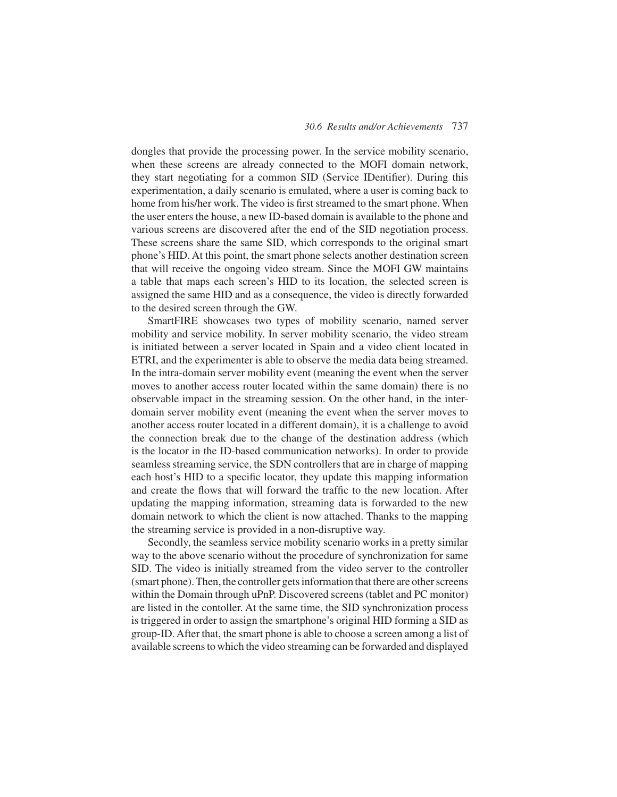dongles that provide the processing power. In the service mobility scenario, when these screens are already connected to the MOFI domain network, they start negotiating for a common SID (Service IDentifier). During this experimentation, a daily scenario is emulated, where a user is coming back to home from his/her work. The video is first streamed to the smart phone. When the user enters the house, a new ID-based domain is available to the phone and various screens are discovered after the end of the SID negotiation process. These screens share the same SID, which corresponds to the original smart phone's HID. At this point, the smart phone selects another destination screen that will receive the ongoing video stream. Since the MOFI GW maintains a table that maps each screen's HID to its location, the selected screen is assigned the same HID and as a consequence, the video is directly forwarded to the desired screen through the GW.

SmartFIRE showcases two types of mobility scenario, named server mobility and service mobility. In server mobility scenario, the video stream is initiated between a server located in Spain and a video client located in ETRI, and the experimenter is able to observe the media data being streamed. In the intra-domain server mobility event (meaning the event when the server moves to another access router located within the same domain) there is no observable impact in the streaming session. On the other hand, in the interdomain server mobility event (meaning the event when the server moves to another access router located in a different domain), it is a challenge to avoid the connection break due to the change of the destination address (which is the locator in the ID-based communication networks). In order to provide seamless streaming service, the SDN controllers that are in charge of mapping each host's HID to a specific locator, they update this mapping information and create the flows that will forward the traffic to the new location. After updating the mapping information, streaming data is forwarded to the new domain network to which the client is now attached. Thanks to the mapping the streaming service is provided in a non-disruptive way.

Secondly, the seamless service mobility scenario works in a pretty similar way to the above scenario without the procedure of synchronization for same SID. The video is initially streamed from the video server to the controller (smart phone). Then, the controller gets information that there are other screens within the Domain through uPnP. Discovered screens (tablet and PC monitor) are listed in the contoller. At the same time, the SID synchronization process is triggered in order to assign the smartphone's original HID forming a SID as group-ID. After that, the smart phone is able to choose a screen among a list of available screens to which the video streaming can be forwarded and displayed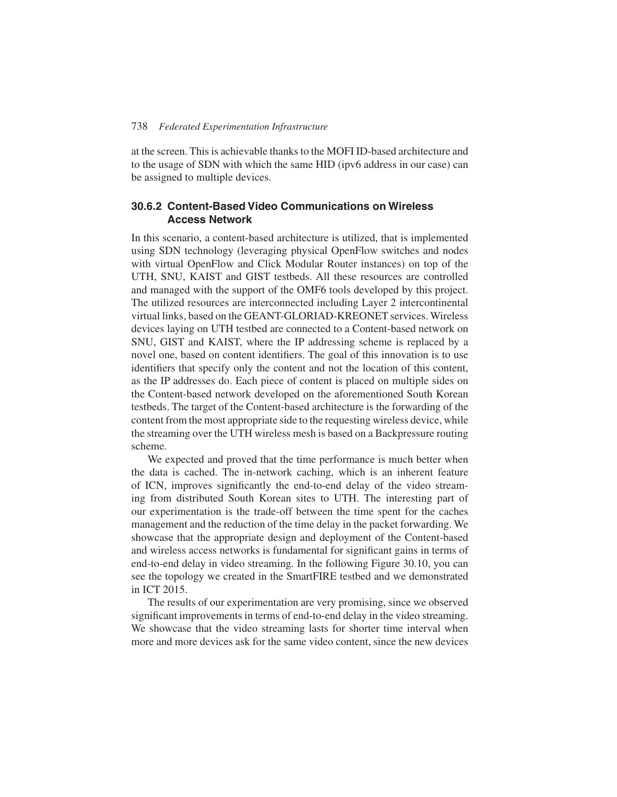at the screen. This is achievable thanks to the MOFI ID-based architecture and to the usage of SDN with which the same HID (ipv6 address in our case) can be assigned to multiple devices.

# **30.6.2 Content-Based Video Communications on Wireless Access Network**

In this scenario, a content-based architecture is utilized, that is implemented using SDN technology (leveraging physical OpenFlow switches and nodes with virtual OpenFlow and Click Modular Router instances) on top of the UTH, SNU, KAIST and GIST testbeds. All these resources are controlled and managed with the support of the OMF6 tools developed by this project. The utilized resources are interconnected including Layer 2 intercontinental virtual links, based on the GEANT-GLORIAD-KREONET services. Wireless devices laying on UTH testbed are connected to a Content-based network on SNU, GIST and KAIST, where the IP addressing scheme is replaced by a novel one, based on content identifiers. The goal of this innovation is to use identifiers that specify only the content and not the location of this content, as the IP addresses do. Each piece of content is placed on multiple sides on the Content-based network developed on the aforementioned South Korean testbeds. The target of the Content-based architecture is the forwarding of the content from the most appropriate side to the requesting wireless device, while the streaming over the UTH wireless mesh is based on a Backpressure routing scheme.

We expected and proved that the time performance is much better when the data is cached. The in-network caching, which is an inherent feature of ICN, improves significantly the end-to-end delay of the video streaming from distributed South Korean sites to UTH. The interesting part of our experimentation is the trade-off between the time spent for the caches management and the reduction of the time delay in the packet forwarding. We showcase that the appropriate design and deployment of the Content-based and wireless access networks is fundamental for significant gains in terms of end-to-end delay in video streaming. In the following Figure 30.10, you can see the topology we created in the SmartFIRE testbed and we demonstrated in ICT 2015.

The results of our experimentation are very promising, since we observed significant improvements in terms of end-to-end delay in the video streaming. We showcase that the video streaming lasts for shorter time interval when more and more devices ask for the same video content, since the new devices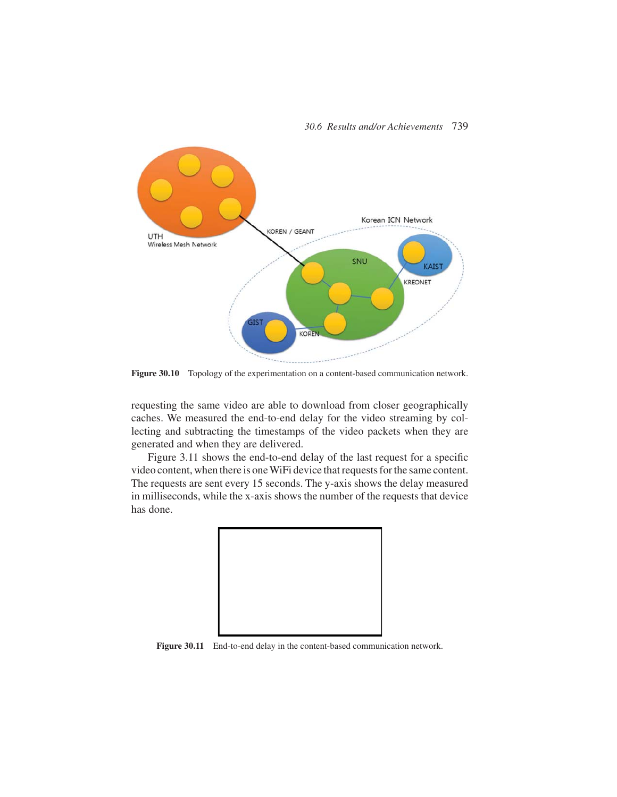

**Figure 30.10** Topology of the experimentation on a content-based communication network.

requesting the same video are able to download from closer geographically caches. We measured the end-to-end delay for the video streaming by collecting and subtracting the timestamps of the video packets when they are generated and when they are delivered.

Figure 3.11 shows the end-to-end delay of the last request for a specific video content, when there is oneWiFi device that requests for the same content. The requests are sent every 15 seconds. The y-axis shows the delay measured in milliseconds, while the x-axis shows the number of the requests that device has done.



Figure 30.11 End-to-end delay in the content-based communication network.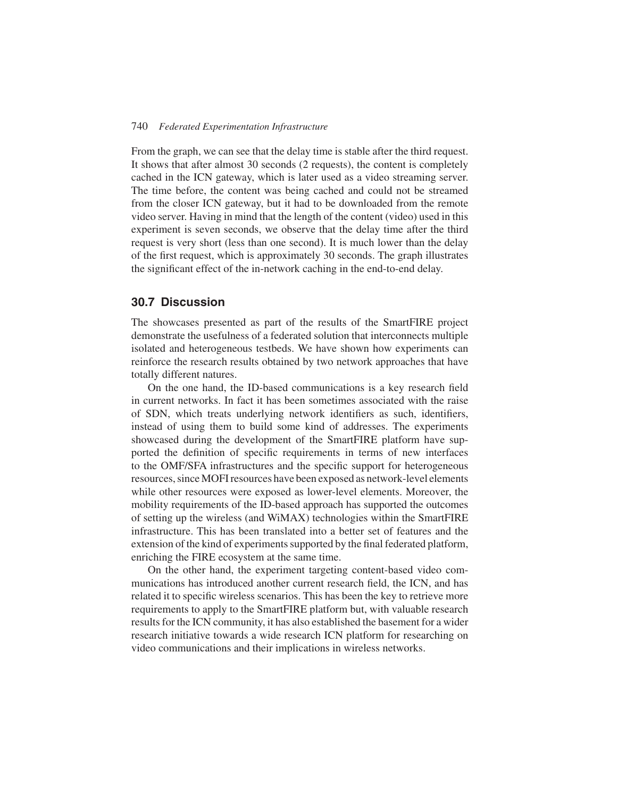From the graph, we can see that the delay time is stable after the third request. It shows that after almost 30 seconds (2 requests), the content is completely cached in the ICN gateway, which is later used as a video streaming server. The time before, the content was being cached and could not be streamed from the closer ICN gateway, but it had to be downloaded from the remote video server. Having in mind that the length of the content (video) used in this experiment is seven seconds, we observe that the delay time after the third request is very short (less than one second). It is much lower than the delay of the first request, which is approximately 30 seconds. The graph illustrates the significant effect of the in-network caching in the end-to-end delay.

# **30.7 Discussion**

The showcases presented as part of the results of the SmartFIRE project demonstrate the usefulness of a federated solution that interconnects multiple isolated and heterogeneous testbeds. We have shown how experiments can reinforce the research results obtained by two network approaches that have totally different natures.

On the one hand, the ID-based communications is a key research field in current networks. In fact it has been sometimes associated with the raise of SDN, which treats underlying network identifiers as such, identifiers, instead of using them to build some kind of addresses. The experiments showcased during the development of the SmartFIRE platform have supported the definition of specific requirements in terms of new interfaces to the OMF/SFA infrastructures and the specific support for heterogeneous resources, sinceMOFI resources have been exposed as network-level elements while other resources were exposed as lower-level elements. Moreover, the mobility requirements of the ID-based approach has supported the outcomes of setting up the wireless (and WiMAX) technologies within the SmartFIRE infrastructure. This has been translated into a better set of features and the extension of the kind of experiments supported by the final federated platform, enriching the FIRE ecosystem at the same time.

On the other hand, the experiment targeting content-based video communications has introduced another current research field, the ICN, and has related it to specific wireless scenarios. This has been the key to retrieve more requirements to apply to the SmartFIRE platform but, with valuable research results for the ICN community, it has also established the basement for a wider research initiative towards a wide research ICN platform for researching on video communications and their implications in wireless networks.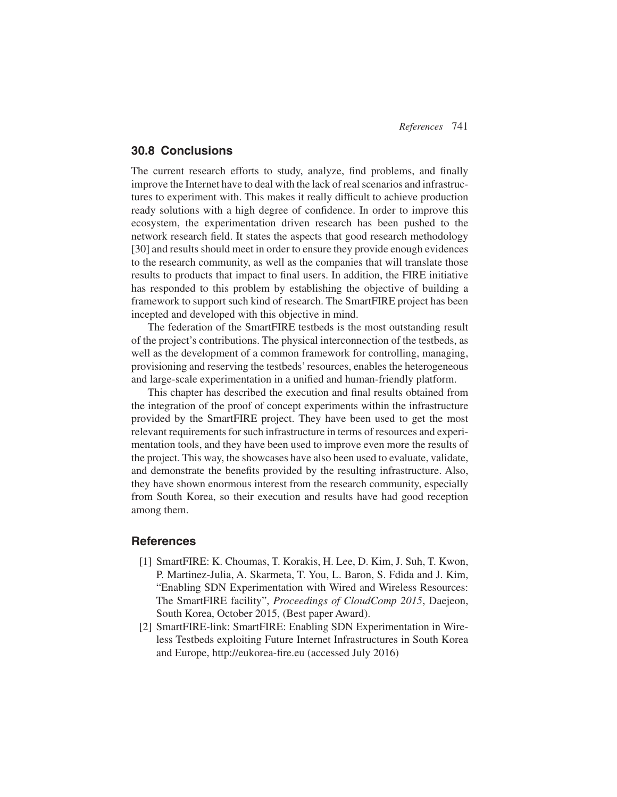# **30.8 Conclusions**

The current research efforts to study, analyze, find problems, and finally improve the Internet have to deal with the lack of real scenarios and infrastructures to experiment with. This makes it really difficult to achieve production ready solutions with a high degree of confidence. In order to improve this ecosystem, the experimentation driven research has been pushed to the network research field. It states the aspects that good research methodology [30] and results should meet in order to ensure they provide enough evidences to the research community, as well as the companies that will translate those results to products that impact to final users. In addition, the FIRE initiative has responded to this problem by establishing the objective of building a framework to support such kind of research. The SmartFIRE project has been incepted and developed with this objective in mind.

The federation of the SmartFIRE testbeds is the most outstanding result of the project's contributions. The physical interconnection of the testbeds, as well as the development of a common framework for controlling, managing, provisioning and reserving the testbeds' resources, enables the heterogeneous and large-scale experimentation in a unified and human-friendly platform.

This chapter has described the execution and final results obtained from the integration of the proof of concept experiments within the infrastructure provided by the SmartFIRE project. They have been used to get the most relevant requirements for such infrastructure in terms of resources and experimentation tools, and they have been used to improve even more the results of the project. This way, the showcases have also been used to evaluate, validate, and demonstrate the benefits provided by the resulting infrastructure. Also, they have shown enormous interest from the research community, especially from South Korea, so their execution and results have had good reception among them.

# **References**

- [1] SmartFIRE: K. Choumas, T. Korakis, H. Lee, D. Kim, J. Suh, T. Kwon, P. Martinez-Julia, A. Skarmeta, T. You, L. Baron, S. Fdida and J. Kim, "Enabling SDN Experimentation with Wired and Wireless Resources: The SmartFIRE facility", *Proceedings of CloudComp 2015*, Daejeon, South Korea, October 2015, (Best paper Award).
- [2] SmartFIRE-link: SmartFIRE: Enabling SDN Experimentation in Wireless Testbeds exploiting Future Internet Infrastructures in South Korea and Europe, http://eukorea-fire.eu (accessed July 2016)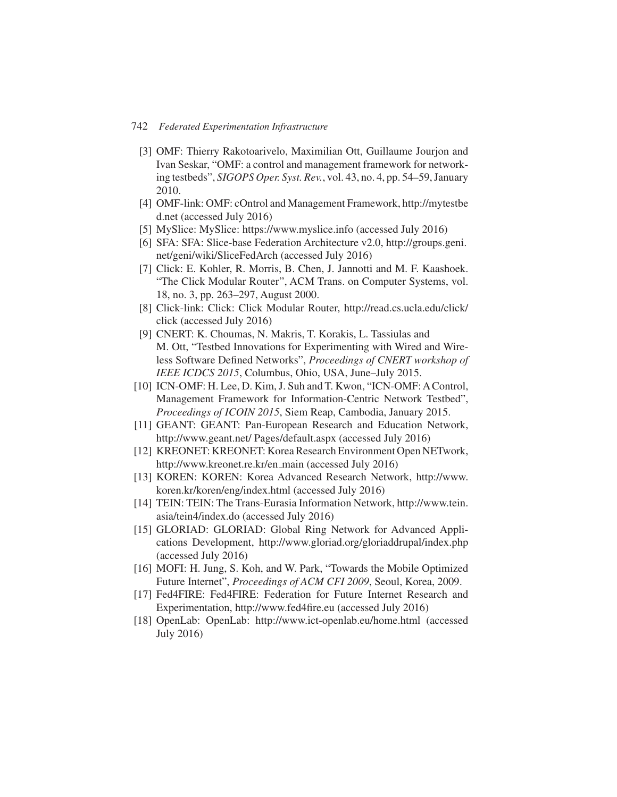- [3] OMF: Thierry Rakotoarivelo, Maximilian Ott, Guillaume Jourjon and Ivan Seskar, "OMF: a control and management framework for networking testbeds", *SIGOPS Oper. Syst. Rev.*, vol. 43, no. 4, pp. 54–59, January 2010.
- [4] OMF-link: OMF: cOntrol and Management Framework, http://mytestbe d.net (accessed July 2016)
- [5] MySlice: MySlice: https://www.myslice.info (accessed July 2016)
- [6] SFA: SFA: Slice-base Federation Architecture v2.0, http://groups.geni. net/geni/wiki/SliceFedArch (accessed July 2016)
- [7] Click: E. Kohler, R. Morris, B. Chen, J. Jannotti and M. F. Kaashoek. "The Click Modular Router", ACM Trans. on Computer Systems, vol. 18, no. 3, pp. 263–297, August 2000.
- [8] Click-link: Click: Click Modular Router, http://read.cs.ucla.edu/click/ click (accessed July 2016)
- [9] CNERT: K. Choumas, N. Makris, T. Korakis, L. Tassiulas and M. Ott, "Testbed Innovations for Experimenting with Wired and Wireless Software Defined Networks", *Proceedings of CNERT workshop of IEEE ICDCS 2015*, Columbus, Ohio, USA, June–July 2015.
- [10] ICN-OMF: H. Lee, D. Kim, J. Suh and T. Kwon, "ICN-OMF: AControl, Management Framework for Information-Centric Network Testbed", *Proceedings of ICOIN 2015*, Siem Reap, Cambodia, January 2015.
- [11] GEANT: GEANT: Pan-European Research and Education Network, http://www.geant.net/ Pages/default.aspx (accessed July 2016)
- [12] KREONET: KREONET: Korea Research Environment Open NETwork, http://www.kreonet.re.kr/en main (accessed July 2016)
- [13] KOREN: KOREN: Korea Advanced Research Network, http://www. koren.kr/koren/eng/index.html (accessed July 2016)
- [14] TEIN: TEIN: The Trans-Eurasia Information Network, http://www.tein. asia/tein4/index.do (accessed July 2016)
- [15] GLORIAD: GLORIAD: Global Ring Network for Advanced Applications Development, http://www.gloriad.org/gloriaddrupal/index.php (accessed July 2016)
- [16] MOFI: H. Jung, S. Koh, and W. Park, "Towards the Mobile Optimized Future Internet", *Proceedings of ACM CFI 2009*, Seoul, Korea, 2009.
- [17] Fed4FIRE: Fed4FIRE: Federation for Future Internet Research and Experimentation, http://www.fed4fire.eu (accessed July 2016)
- [18] OpenLab: OpenLab: http://www.ict-openlab.eu/home.html (accessed July 2016)